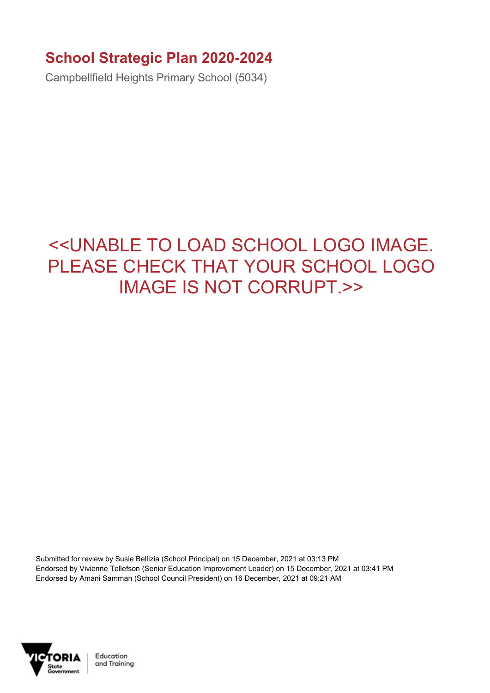## **School Strategic Plan 2020-2024**

Campbellfield Heights Primary School (5034)

## <<UNABLE TO LOAD SCHOOL LOGO IMAGE. PLEASE CHECK THAT YOUR SCHOOL LOGO IMAGE IS NOT CORRUPT.>>

Submitted for review by Susie Bellizia (School Principal) on 15 December, 2021 at 03:13 PM Endorsed by Vivienne Tellefson (Senior Education Improvement Leader) on 15 December, 2021 at 03:41 PM Endorsed by Amani Samman (School Council President) on 16 December, 2021 at 09:21 AM



Education and Training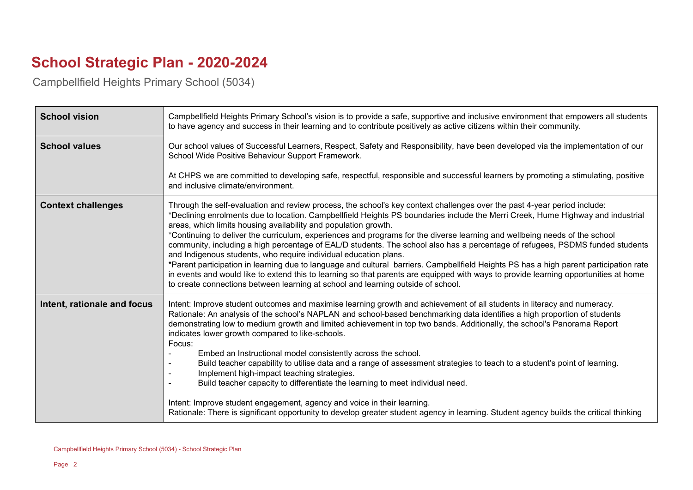## **School Strategic Plan - 2020-2024**

Campbellfield Heights Primary School (5034)

| <b>School vision</b>        | Campbellfield Heights Primary School's vision is to provide a safe, supportive and inclusive environment that empowers all students<br>to have agency and success in their learning and to contribute positively as active citizens within their community.                                                                                                                                                                                                                                                                                                                                                                                                                                                                                                                                                                                                                                                                                                                                                                             |
|-----------------------------|-----------------------------------------------------------------------------------------------------------------------------------------------------------------------------------------------------------------------------------------------------------------------------------------------------------------------------------------------------------------------------------------------------------------------------------------------------------------------------------------------------------------------------------------------------------------------------------------------------------------------------------------------------------------------------------------------------------------------------------------------------------------------------------------------------------------------------------------------------------------------------------------------------------------------------------------------------------------------------------------------------------------------------------------|
| <b>School values</b>        | Our school values of Successful Learners, Respect, Safety and Responsibility, have been developed via the implementation of our<br>School Wide Positive Behaviour Support Framework.                                                                                                                                                                                                                                                                                                                                                                                                                                                                                                                                                                                                                                                                                                                                                                                                                                                    |
|                             | At CHPS we are committed to developing safe, respectful, responsible and successful learners by promoting a stimulating, positive<br>and inclusive climate/environment.                                                                                                                                                                                                                                                                                                                                                                                                                                                                                                                                                                                                                                                                                                                                                                                                                                                                 |
| <b>Context challenges</b>   | Through the self-evaluation and review process, the school's key context challenges over the past 4-year period include:<br>*Declining enrolments due to location. Campbellfield Heights PS boundaries include the Merri Creek, Hume Highway and industrial<br>areas, which limits housing availability and population growth.<br>*Continuing to deliver the curriculum, experiences and programs for the diverse learning and wellbeing needs of the school<br>community, including a high percentage of EAL/D students. The school also has a percentage of refugees, PSDMS funded students<br>and Indigenous students, who require individual education plans.<br>*Parent participation in learning due to language and cultural barriers. Campbellfield Heights PS has a high parent participation rate<br>in events and would like to extend this to learning so that parents are equipped with ways to provide learning opportunities at home<br>to create connections between learning at school and learning outside of school. |
| Intent, rationale and focus | Intent: Improve student outcomes and maximise learning growth and achievement of all students in literacy and numeracy.<br>Rationale: An analysis of the school's NAPLAN and school-based benchmarking data identifies a high proportion of students<br>demonstrating low to medium growth and limited achievement in top two bands. Additionally, the school's Panorama Report<br>indicates lower growth compared to like-schools.<br>Focus:<br>Embed an Instructional model consistently across the school.<br>Build teacher capability to utilise data and a range of assessment strategies to teach to a student's point of learning.<br>Implement high-impact teaching strategies.<br>Build teacher capacity to differentiate the learning to meet individual need.<br>Intent: Improve student engagement, agency and voice in their learning.<br>Rationale: There is significant opportunity to develop greater student agency in learning. Student agency builds the critical thinking                                           |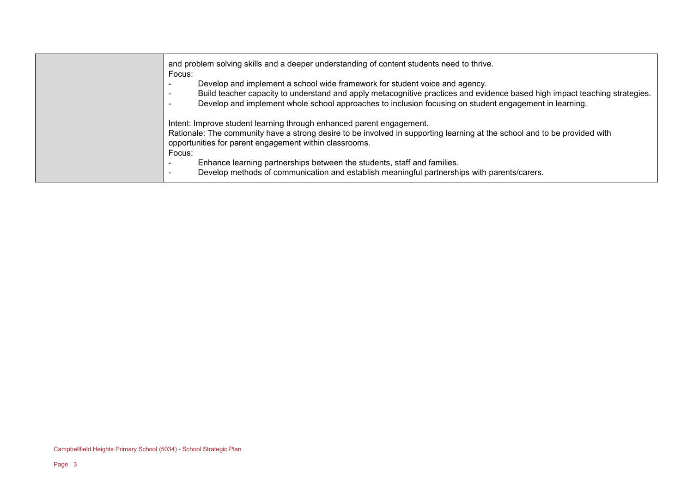| and problem solving skills and a deeper understanding of content students need to thrive.<br>Focus:                                                                                                                                                                                                                                              |
|--------------------------------------------------------------------------------------------------------------------------------------------------------------------------------------------------------------------------------------------------------------------------------------------------------------------------------------------------|
| Develop and implement a school wide framework for student voice and agency.<br>Build teacher capacity to understand and apply metacognitive practices and evidence based high impact teaching strategies.<br>Develop and implement whole school approaches to inclusion focusing on student engagement in learning.                              |
| Intent: Improve student learning through enhanced parent engagement.<br>Rationale: The community have a strong desire to be involved in supporting learning at the school and to be provided with<br>opportunities for parent engagement within classrooms.<br>Focus:<br>Enhance learning partnerships between the students, staff and families. |
| Develop methods of communication and establish meaningful partnerships with parents/carers.                                                                                                                                                                                                                                                      |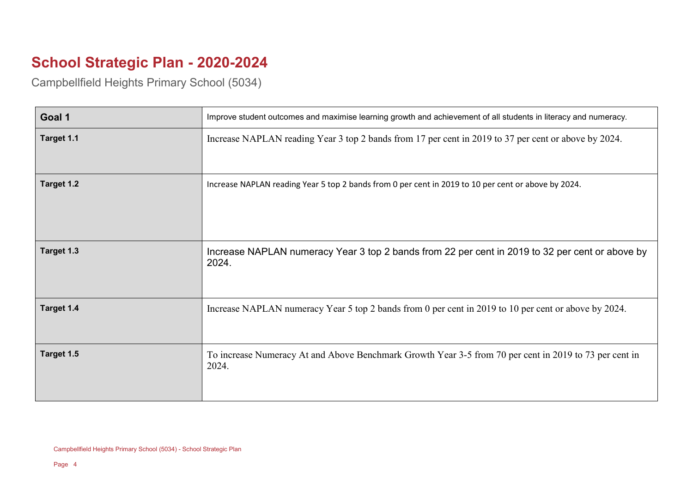## **School Strategic Plan - 2020-2024**

Campbellfield Heights Primary School (5034)

| Goal 1     | Improve student outcomes and maximise learning growth and achievement of all students in literacy and numeracy. |
|------------|-----------------------------------------------------------------------------------------------------------------|
| Target 1.1 | Increase NAPLAN reading Year 3 top 2 bands from 17 per cent in 2019 to 37 per cent or above by 2024.            |
| Target 1.2 | Increase NAPLAN reading Year 5 top 2 bands from 0 per cent in 2019 to 10 per cent or above by 2024.             |
| Target 1.3 | Increase NAPLAN numeracy Year 3 top 2 bands from 22 per cent in 2019 to 32 per cent or above by<br>2024.        |
| Target 1.4 | Increase NAPLAN numeracy Year 5 top 2 bands from 0 per cent in 2019 to 10 per cent or above by 2024.            |
| Target 1.5 | To increase Numeracy At and Above Benchmark Growth Year 3-5 from 70 per cent in 2019 to 73 per cent in<br>2024. |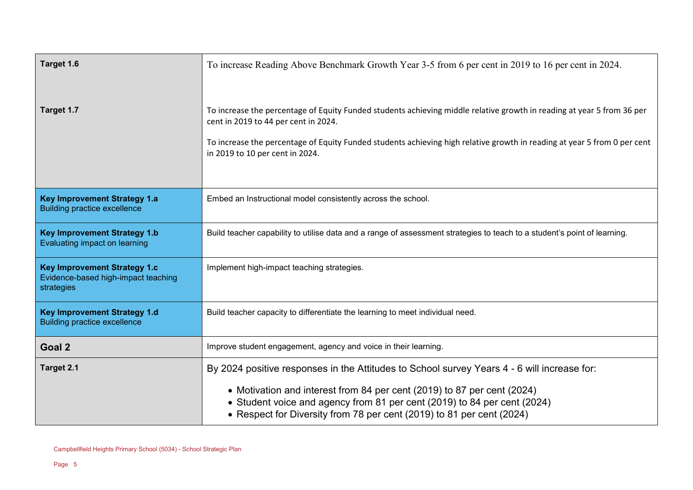| Target 1.6                                                                               | To increase Reading Above Benchmark Growth Year 3-5 from 6 per cent in 2019 to 16 per cent in 2024.                                                                                                                          |
|------------------------------------------------------------------------------------------|------------------------------------------------------------------------------------------------------------------------------------------------------------------------------------------------------------------------------|
| Target 1.7                                                                               | To increase the percentage of Equity Funded students achieving middle relative growth in reading at year 5 from 36 per<br>cent in 2019 to 44 per cent in 2024.                                                               |
|                                                                                          | To increase the percentage of Equity Funded students achieving high relative growth in reading at year 5 from 0 per cent<br>in 2019 to 10 per cent in 2024.                                                                  |
| <b>Key Improvement Strategy 1.a</b><br><b>Building practice excellence</b>               | Embed an Instructional model consistently across the school.                                                                                                                                                                 |
| <b>Key Improvement Strategy 1.b</b><br>Evaluating impact on learning                     | Build teacher capability to utilise data and a range of assessment strategies to teach to a student's point of learning.                                                                                                     |
| <b>Key Improvement Strategy 1.c</b><br>Evidence-based high-impact teaching<br>strategies | Implement high-impact teaching strategies.                                                                                                                                                                                   |
| <b>Key Improvement Strategy 1.d</b><br><b>Building practice excellence</b>               | Build teacher capacity to differentiate the learning to meet individual need.                                                                                                                                                |
| Goal 2                                                                                   | Improve student engagement, agency and voice in their learning.                                                                                                                                                              |
| Target 2.1                                                                               | By 2024 positive responses in the Attitudes to School survey Years 4 - 6 will increase for:                                                                                                                                  |
|                                                                                          | • Motivation and interest from 84 per cent (2019) to 87 per cent (2024)<br>• Student voice and agency from 81 per cent (2019) to 84 per cent (2024)<br>• Respect for Diversity from 78 per cent (2019) to 81 per cent (2024) |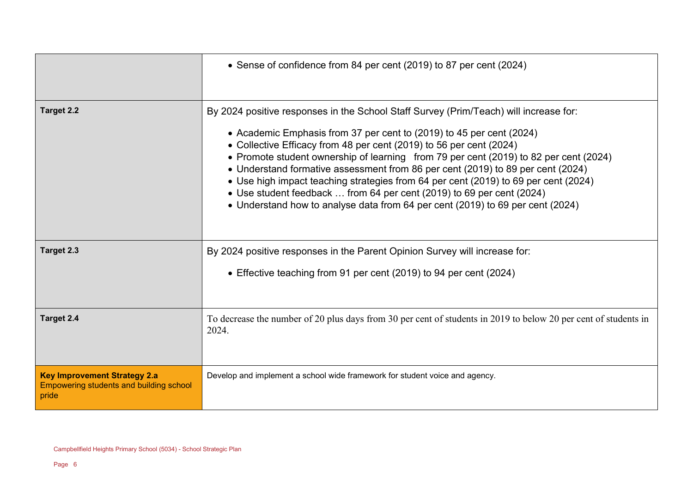|                                                                                         | • Sense of confidence from 84 per cent (2019) to 87 per cent (2024)                                                                                                                                                                                                                                                                                                                                                                                                                                                                                                                                                                                                |
|-----------------------------------------------------------------------------------------|--------------------------------------------------------------------------------------------------------------------------------------------------------------------------------------------------------------------------------------------------------------------------------------------------------------------------------------------------------------------------------------------------------------------------------------------------------------------------------------------------------------------------------------------------------------------------------------------------------------------------------------------------------------------|
| Target 2.2                                                                              | By 2024 positive responses in the School Staff Survey (Prim/Teach) will increase for:<br>• Academic Emphasis from 37 per cent to (2019) to 45 per cent (2024)<br>• Collective Efficacy from 48 per cent (2019) to 56 per cent (2024)<br>• Promote student ownership of learning from 79 per cent (2019) to 82 per cent (2024)<br>• Understand formative assessment from 86 per cent (2019) to 89 per cent (2024)<br>• Use high impact teaching strategies from 64 per cent (2019) to 69 per cent (2024)<br>• Use student feedback  from 64 per cent (2019) to 69 per cent (2024)<br>• Understand how to analyse data from 64 per cent (2019) to 69 per cent (2024) |
| Target 2.3                                                                              | By 2024 positive responses in the Parent Opinion Survey will increase for:<br>• Effective teaching from 91 per cent (2019) to 94 per cent (2024)                                                                                                                                                                                                                                                                                                                                                                                                                                                                                                                   |
| Target 2.4                                                                              | To decrease the number of 20 plus days from 30 per cent of students in 2019 to below 20 per cent of students in<br>2024.                                                                                                                                                                                                                                                                                                                                                                                                                                                                                                                                           |
| <b>Key Improvement Strategy 2.a</b><br>Empowering students and building school<br>pride | Develop and implement a school wide framework for student voice and agency.                                                                                                                                                                                                                                                                                                                                                                                                                                                                                                                                                                                        |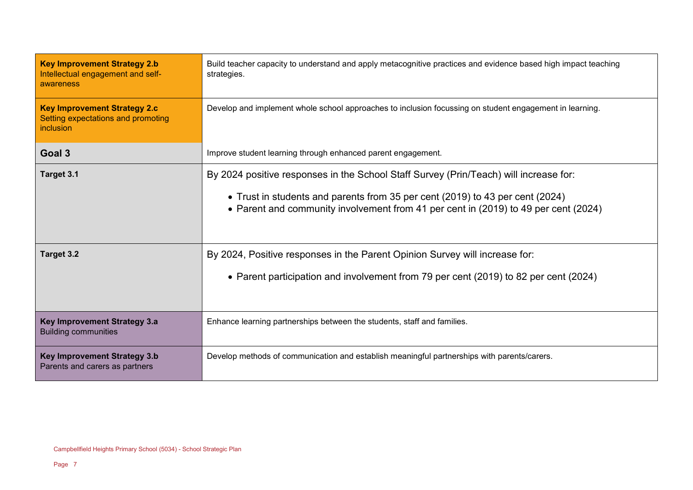| <b>Key Improvement Strategy 2.b</b><br>Intellectual engagement and self-<br>awareness         | Build teacher capacity to understand and apply metacognitive practices and evidence based high impact teaching<br>strategies.                                                                                                                                 |
|-----------------------------------------------------------------------------------------------|---------------------------------------------------------------------------------------------------------------------------------------------------------------------------------------------------------------------------------------------------------------|
| <b>Key Improvement Strategy 2.c</b><br>Setting expectations and promoting<br><i>inclusion</i> | Develop and implement whole school approaches to inclusion focussing on student engagement in learning.                                                                                                                                                       |
| Goal 3                                                                                        | Improve student learning through enhanced parent engagement.                                                                                                                                                                                                  |
| Target 3.1                                                                                    | By 2024 positive responses in the School Staff Survey (Prin/Teach) will increase for:<br>• Trust in students and parents from 35 per cent (2019) to 43 per cent (2024)<br>• Parent and community involvement from 41 per cent in (2019) to 49 per cent (2024) |
| Target 3.2                                                                                    | By 2024, Positive responses in the Parent Opinion Survey will increase for:<br>• Parent participation and involvement from 79 per cent (2019) to 82 per cent (2024)                                                                                           |
| Key Improvement Strategy 3.a<br><b>Building communities</b>                                   | Enhance learning partnerships between the students, staff and families.                                                                                                                                                                                       |
| <b>Key Improvement Strategy 3.b</b><br>Parents and carers as partners                         | Develop methods of communication and establish meaningful partnerships with parents/carers.                                                                                                                                                                   |